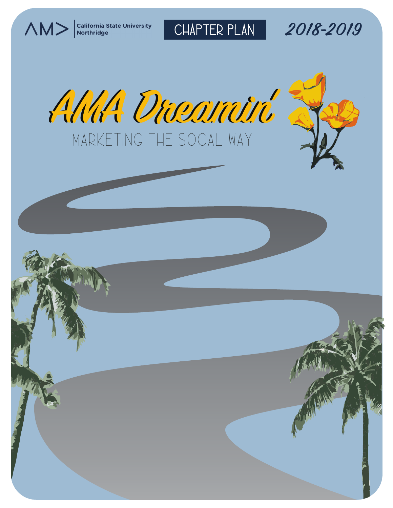$\bigwedge \bigwedge \bigvee$  California State University

CHAPTER PLAN **2018-2019**



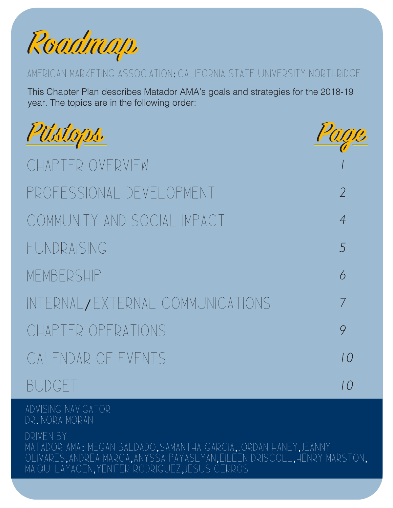

# AMERICAN MARKETING ASSOCIATION: CALIFORNIA STATE UNIVERSITY NORTHRIDGE

This Chapter Plan describes Matador AMA's goals and strategies for the 2018-19 year. The topics are in the following order:

| Püstops.                         | Page           |
|----------------------------------|----------------|
| CHAPTER OVERVIEW                 |                |
| PROFESSIONAL DEVELOPMENT         | $\overline{2}$ |
| COMMUNITY AND SOCIAL IMPACT      | $\overline{4}$ |
| FUNDRAISING                      | $\sqrt{5}$     |
| MEMBERSHIP                       | 6              |
| INTERNAL/EXTERNAL COMMUNICATIONS | $\overline{7}$ |
| CHAPTER OPERATIONS               | 9              |
| CALENDAR OF EVENTS               | 10             |
| <b>BUDGET</b>                    | 10             |

Advising Navigator Dr. Nora Moran

DRIVEN BY Matador AMA: Megan Baldado, Samantha garcia, jordan haney, jeanny olivares, andrea marca, anyssa payaslyan, eileen driscoll, henry marston, maiqui layaoen, Yenifer Rodriguez, Jesus Cerros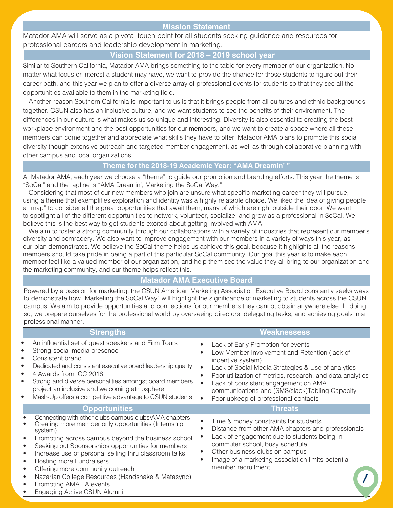# **Mission Statement**

Matador AMA will serve as a pivotal touch point for all students seeking guidance and resources for professional careers and leadership development in marketing.

# **Vision Statement for 2018 – 2019 school year**

Similar to Southern California, Matador AMA brings something to the table for every member of our organization. No matter what focus or interest a student may have, we want to provide the chance for those students to figure out their career path, and this year we plan to offer a diverse array of professional events for students so that they see all the opportunities available to them in the marketing field.

Another reason Southern California is important to us is that it brings people from all cultures and ethnic backgrounds together. CSUN also has an inclusive culture, and we want students to see the benefits of their environment. The differences in our culture is what makes us so unique and interesting. Diversity is also essential to creating the best workplace environment and the best opportunities for our members, and we want to create a space where all these members can come together and appreciate what skills they have to offer. Matador AMA plans to promote this social diversity though extensive outreach and targeted member engagement, as well as through collaborative planning with other campus and local organizations.

# **Theme for the 2018-19 Academic Year: "AMA Dreamin' "**

At Matador AMA, each year we choose a "theme" to guide our promotion and branding efforts. This year the theme is "SoCal" and the tagline is "AMA Dreamin', Marketing the SoCal Way."

Considering that most of our new members who join are unsure what specific marketing career they will pursue, using a theme that exemplifies exploration and identity was a highly relatable choice. We liked the idea of giving people a "map" to consider all the great opportunities that await them, many of which are right outside their door. We want to spotlight all of the different opportunities to network, volunteer, socialize, and grow as a professional in SoCal. We believe this is the best way to get students excited about getting involved with AMA.

We aim to foster a strong community through our collaborations with a variety of industries that represent our member's diversity and comradery. We also want to improve engagement with our members in a variety of ways this year, as our plan demonstrates. We believe the SoCal theme helps us achieve this goal, because it highlights all the reasons members should take pride in being a part of this particular SoCal community. Our goal this year is to make each member feel like a valued member of our organization, and help them see the value they all bring to our organization and the marketing community, and our theme helps reflect this.

# **Matador AMA Executive Board**

Powered by a passion for marketing, the CSUN American Marketing Association Executive Board constantly seeks ways to demonstrate how "Marketing the SoCal Way" will highlight the significance of marketing to students across the CSUN campus. We aim to provide opportunities and connections for our members they cannot obtain anywhere else. In doing so, we prepare ourselves for the professional world by overseeing directors, delegating tasks, and achieving goals in a professional manner.

| <b>Strengths</b>                                                                                                                                                                                                                                                                                                                                                                                                                                                                   | <b>Weaknessess</b>                                                                                                                                                                                                                                                                                                                                                                                                |
|------------------------------------------------------------------------------------------------------------------------------------------------------------------------------------------------------------------------------------------------------------------------------------------------------------------------------------------------------------------------------------------------------------------------------------------------------------------------------------|-------------------------------------------------------------------------------------------------------------------------------------------------------------------------------------------------------------------------------------------------------------------------------------------------------------------------------------------------------------------------------------------------------------------|
| An influential set of guest speakers and Firm Tours<br>Strong social media presence<br>Consistent brand<br>Dedicated and consistent executive board leadership quality<br>٠<br>4 Awards from ICC 2018<br>$\bullet$<br>Strong and diverse personalities amongst board members<br>$\bullet$<br>project an inclusive and welcoming atmosphere<br>Mash-Up offers a competitive advantage to CSUN students<br>$\bullet$                                                                 | Lack of Early Promotion for events<br>Low Member Involvement and Retention (lack of<br>incentive system)<br>Lack of Social Media Strategies & Use of analytics<br>$\bullet$<br>Poor utilization of metrics, research, and data analytics<br>$\bullet$<br>Lack of consistent engagement on AMA<br>$\bullet$<br>communications and (SMS/slack)Tabling Capacity<br>Poor upkeep of professional contacts<br>$\bullet$ |
| <b>Opportunities</b>                                                                                                                                                                                                                                                                                                                                                                                                                                                               | <b>Threats</b>                                                                                                                                                                                                                                                                                                                                                                                                    |
| Connecting with other clubs campus clubs/AMA chapters<br>Creating more member only opportunities (Internship<br>system)<br>Promoting across campus beyond the business school<br>Seeking out Sponsorships opportunities for members<br>Increase use of personal selling thru classroom talks<br><b>Hosting more Fundraisers</b><br>Offering more community outreach<br>Nazarian College Resources (Handshake & Matasync)<br>Promoting AMA LA events<br>Engaging Active CSUN Alumni | Time & money constraints for students<br>$\bullet$<br>Distance from other AMA chapters and professionals<br>$\bullet$<br>Lack of engagement due to students being in<br>$\bullet$<br>commuter school, busy schedule<br>Other business clubs on campus<br>$\bullet$<br>Image of a marketing association limits potential<br>$\bullet$<br>member recruitment                                                        |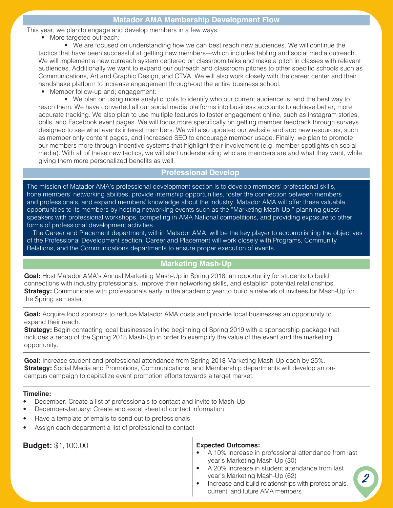This year, we plan to engage and develop members in a few ways:

• More targeted outreach:

• We are focused on understanding how we can best reach new audiences. We will continue the tactics that have been successful at getting new members—which includes tabling and social media outreach. We will implement a new outreach system centered on classroom talks and make a pitch in classes with relevant audiences. Additionally we want to expand our outreach and classroom pitches to other specific schools such as Communications, Art and Graphic Design, and CTVA. We will also work closely with the career center and their handshake platform to increase engagement through-out the entire business school.

• Member follow-up and; engagement:

• We plan on using more analytic tools to identify who our current audience is, and the best way to reach them. We have converted all our social media platforms into business accounts to achieve better, more accurate tracking. We also plan to use multiple features to foster engagement online, such as Instagram stories, polls, and Facebook event pages. We will focus more specifically on getting member feedback through surveys designed to see what events interest members. We will also updated our website and add new resources, such as member only content pages, and increased SEO to encourage member usage. Finally, we plan to promote our members more through incentive systems that highlight their involvement (e.g. member spotlights on social media). With all of these new tactics, we will start understanding who are members are and what they want, while giving them more personalized benefits as well.

# **Professional Develop**

The mission of Matador AMA's professional development section is to develop members' professional skills, hone members' networking abilities, provide internship opportunities, foster the connection between members and professionals, and expand members' knowledge about the industry. Matador AMA will offer these valuable opportunities to its members by hosting networking events such as the "Marketing Mash-Up," planning guest speakers with professional workshops, competing in AMA National competitions, and providing exposure to other forms of professional development activities.

The Career and Placement department, within Matador AMA, will be the key player to accomplishing the objectives of the Professional Development section. Career and Placement will work closely with Programs, Community Relations, and the Communications departments to ensure proper execution of events.

# **Marketing Mash-Up**

**Goal:** Host Matador AMA's Annual Marketing Mash-Up in Spring 2018, an opportunity for students to build connections with industry professionals, improve their networking skills, and establish potential relationships. **Strategy:** Communicate with professionals early in the academic year to build a network of invitees for Mash-Up for the Spring semester.

**Goal:** Acquire food sponsors to reduce Matador AMA costs and provide local businesses an opportunity to expand their reach.

**Strategy:** Begin contacting local businesses in the beginning of Spring 2019 with a sponsorship package that includes a recap of the Spring 2018 Mash-Up in order to exemplify the value of the event and the marketing opportunity.

**Goal:** Increase student and professional attendance from Spring 2018 Marketing Mash-Up each by 25%. **Strategy:** Social Media and Promotions, Communications, and Membership departments will develop an oncampus campaign to capitalize event promotion efforts towards a target market.

### **Timeline:**

- December: Create a list of professionals to contact and invite to Mash-Up
- December-January: Create and excel sheet of contact information
- Have a template of emails to send out to professionals
- Assign each department a list of professional to contact

| <b>Budget: \$1,100.00</b> | <b>Expected Outcomes:</b><br>A 10% increase in professional attendance from last<br>year's Marketing Mash-Up (30)<br>A 20% increase in student attendance from last<br>year's Marketing Mash-Up (62)<br>Increase and build relationships with professionals,<br>current, and future AMA members |
|---------------------------|-------------------------------------------------------------------------------------------------------------------------------------------------------------------------------------------------------------------------------------------------------------------------------------------------|
|                           |                                                                                                                                                                                                                                                                                                 |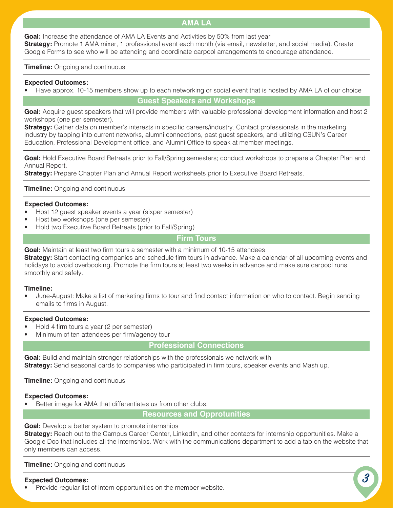# **AMA LA**

**Goal:** Increase the attendance of AMA LA Events and Activities by 50% from last year **Strategy:** Promote 1 AMA mixer, 1 professional event each month (via email, newsletter, and social media). Create Google Forms to see who will be attending and coordinate carpool arrangements to encourage attendance.

**Timeline:** Ongoing and continuous

### **Expected Outcomes:**

• Have approx. 10-15 members show up to each networking or social event that is hosted by AMA LA of our choice

# **Guest Speakers and Workshops**

**Goal:** Acquire guest speakers that will provide members with valuable professional development information and host 2 workshops (one per semester).

**Strategy:** Gather data on member's interests in specific careers/industry. Contact professionals in the marketing industry by tapping into current networks, alumni connections, past guest speakers, and utilizing CSUN's Career Education, Professional Development office, and Alumni Office to speak at member meetings.

**Goal:** Hold Executive Board Retreats prior to Fall/Spring semesters; conduct workshops to prepare a Chapter Plan and Annual Report.

**Strategy:** Prepare Chapter Plan and Annual Report worksheets prior to Executive Board Retreats.

**Timeline:** Ongoing and continuous

### **Expected Outcomes:**

- Host 12 guest speaker events a year (sixper semester)
- Host two workshops (one per semester)
- Hold two Executive Board Retreats (prior to Fall/Spring)

# **Firm Tours**

**Goal:** Maintain at least two firm tours a semester with a minimum of 10-15 attendees

**Strategy:** Start contacting companies and schedule firm tours in advance. Make a calendar of all upcoming events and holidays to avoid overbooking. Promote the firm tours at least two weeks in advance and make sure carpool runs smoothly and safely.

### **Timeline:**

• June-August: Make a list of marketing firms to tour and find contact information on who to contact. Begin sending emails to firms in August.

### **Expected Outcomes:**

- Hold 4 firm tours a year (2 per semester)
- Minimum of ten attendees per firm/agency tour

# **Professional Connections**

**Goal:** Build and maintain stronger relationships with the professionals we network with **Strategy:** Send seasonal cards to companies who participated in firm tours, speaker events and Mash up.

**Timeline:** Ongoing and continuous

### **Expected Outcomes:**

Better image for AMA that differentiates us from other clubs.

# **Resources and Opprotunities**

**Goal:** Develop a better system to promote internships

**Strategy:** Reach out to the Campus Career Center, LinkedIn, and other contacts for internship opportunities. Make a Google Doc that includes all the internships. Work with the communications department to add a tab on the website that only members can access.

**Timeline:** Ongoing and continuous

### **Expected Outcomes:**

• Provide regular list of intern opportunities on the member website.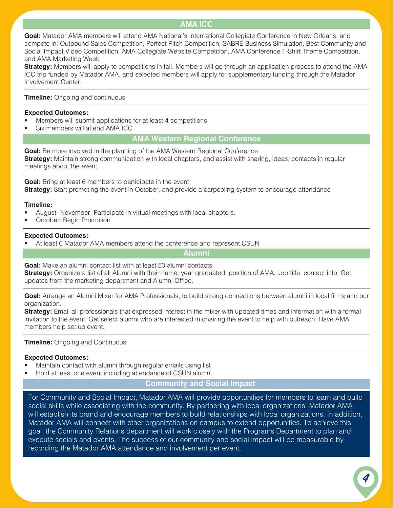# **AMA ICC**

**Goal:** Matador AMA members will attend AMA National's International Collegiate Conference in New Orleans, and compete in: Outbound Sales Competition, Perfect Pitch Competition, SABRE Business Simulation, Best Community and Social Impact Video Competition, AMA Collegiate Website Competition, AMA Conference T-Shirt Theme Competition, and AMA Marketing Week.

**Strategy:** Members will apply to competitions in fall. Members will go through an application process to attend the AMA ICC trip funded by Matador AMA, and selected members will apply for supplementary funding through the Matador Involvement Center.

**Timeline:** Ongoing and continuous

### **Expected Outcomes:**

- Members will submit applications for at least 4 competitions
- Six members will attend AMA ICC

# **AMA Western Regional Conference**

**Goal:** Be more involved in the planning of the AMA Western Regional Conference **Strategy:** Maintain strong communication with local chapters, and assist with sharing, ideas, contacts in regular meetings about the event.

**Goal:** Bring at least 6 members to participate in the event **Strategy:** Start promoting the event in October, and provide a carpooling system to encourage attendance

### **Timeline:**

- August- November: Participate in virtual meetings with local chapters.
- October: Begin Promotion

### **Expected Outcomes:**

At least 6 Matador AMA members attend the conference and represent CSUN

**Alumni**

**Goal:** Make an alumni contact list with at least 50 alumni contacts **Strategy:** Organize a list of all Alumni with their name, year graduated, position of AMA, Job title, contact info. Get updates from the marketing department and Alumni Office.

**Goal:** Arrange an Alumni Mixer for AMA Professionals, to build strong connections between alumni in local firms and our organization.

**Strategy:** Email all professionals that expressed interest in the mixer with updated times and information with a formal invitation to the event. Get select alumni who are interested in chairing the event to help with outreach. Have AMA members help set up event.

# **Timeline:** Ongoing and Continuous

### **Expected Outcomes:**

- Maintain contact with alumni through regular emails using list
- Hold at least one event including attendance of CSUN alumni

# **Community and Social Impact**

For Community and Social Impact, Matador AMA will provide opportunities for members to learn and build social skills while associating with the community. By partnering with local organizations, Matador AMA will establish its brand and encourage members to build relationships with local organizations. In addition, Matador AMA will connect with other organizations on campus to extend opportunities. To achieve this goal, the Community Relations department will work closely with the Programs Department to plan and execute socials and events. The success of our community and social impact will be measurable by recording the Matador AMA attendance and involvement per event.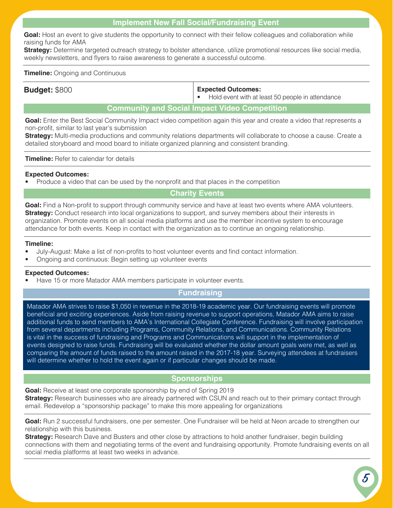# **Implement New Fall Social/Fundraising Event**

Goal: Host an event to give students the opportunity to connect with their fellow colleagues and collaboration while raising funds for AMA

**Strategy:** Determine targeted outreach strategy to bolster attendance, utilize promotional resources like social media, weekly newsletters, and flyers to raise awareness to generate a successful outcome.

### **Timeline:** Ongoing and Continuous

# **Budget:** \$800 **Expected Outcomes:**

• Hold event with at least 50 people in attendance

# **Community and Social Impact Video Competition**

**Goal:** Enter the Best Social Community Impact video competition again this year and create a video that represents a non-profit, similar to last year's submission

**Strategy:** Multi-media productions and community relations departments will collaborate to choose a cause. Create a detailed storyboard and mood board to initiate organized planning and consistent branding.

**Timeline:** Refer to calendar for details

# **Expected Outcomes:**

• Produce a video that can be used by the nonprofit and that places in the competition

# **Charity Events**

**Goal:** Find a Non-profit to support through community service and have at least two events where AMA volunteers. **Strategy:** Conduct research into local organizations to support, and survey members about their interests in organization. Promote events on all social media platforms and use the member incentive system to encourage attendance for both events. Keep in contact with the organization as to continue an ongoing relationship.

### **Timeline:**

- July-August: Make a list of non-profits to host volunteer events and find contact information.
- Ongoing and continuous: Begin setting up volunteer events

# **Expected Outcomes:**

• Have 15 or more Matador AMA members participate in volunteer events.

# **Fundraising**

Matador AMA strives to raise \$1,050 in revenue in the 2018-19 academic year. Our fundraising events will promote beneficial and exciting experiences. Aside from raising revenue to support operations, Matador AMA aims to raise additional funds to send members to AMA's International Collegiate Conference. Fundraising will involve participation from several departments including Programs, Community Relations, and Communications. Community Relations is vital in the success of fundraising and Programs and Communications will support in the implementation of events designed to raise funds. Fundraising will be evaluated whether the dollar amount goals were met, as well as comparing the amount of funds raised to the amount raised in the 2017-18 year. Surveying attendees at fundraisers will determine whether to hold the event again or if particular changes should be made.

# **Sponsorships**

Goal: Receive at least one corporate sponsorship by end of Spring 2019 **Strategy:** Research businesses who are already partnered with CSUN and reach out to their primary contact through email. Redevelop a "sponsorship package" to make this more appealing for organizations

**Goal:** Run 2 successful fundraisers, one per semester. One Fundraiser will be held at Neon arcade to strengthen our relationship with this business.

**Strategy:** Research Dave and Busters and other close by attractions to hold another fundraiser, begin building connections with them and negotiating terms of the event and fundraising opportunity. Promote fundraising events on all social media platforms at least two weeks in advance.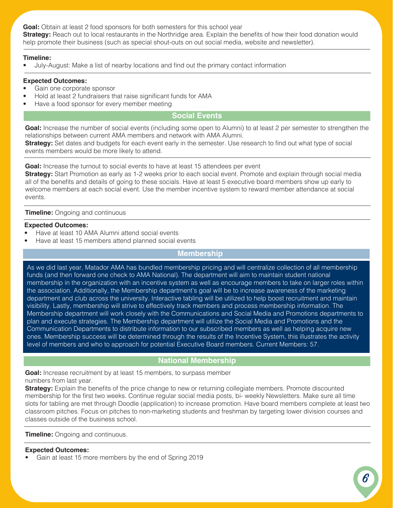**Goal:** Obtain at least 2 food sponsors for both semesters for this school year **Strategy:** Reach out to local restaurants in the Northridge area. Explain the benefits of how their food donation would help promote their business (such as special shout-outs on out social media, website and newsletter).

# **Timeline:**

• July-August: Make a list of nearby locations and find out the primary contact information

### **Expected Outcomes:**

- Gain one corporate sponsor
- Hold at least 2 fundraisers that raise significant funds for AMA
- Have a food sponsor for every member meeting

# **Social Events**

**Goal:** Increase the number of social events (including some open to Alumni) to at least 2 per semester to strengthen the relationships between current AMA members and network with AMA Alumni.

**Strategy:** Set dates and budgets for each event early in the semester. Use research to find out what type of social events members would be more likely to attend.

Goal: Increase the turnout to social events to have at least 15 attendees per event

**Strategy:** Start Promotion as early as 1-2 weeks prior to each social event. Promote and explain through social media all of the benefits and details of going to these socials. Have at least 5 executive board members show up early to welcome members at each social event. Use the member incentive system to reward member attendance at social events.

### **Timeline:** Ongoing and continuous

### **Expected Outcomes:**

- Have at least 10 AMA Alumni attend social events
- Have at least 15 members attend planned social events

# **Membership**

As we did last year, Matador AMA has bundled membership pricing and will centralize collection of all membership funds (and then forward one check to AMA National). The department will aim to maintain student national membership in the organization with an incentive system as well as encourage members to take on larger roles within the association. Additionally, the Membership department's goal will be to increase awareness of the marketing department and club across the university. Interactive tabling will be utilized to help boost recruitment and maintain visibility. Lastly, membership will strive to effectively track members and process membership information. The Membership department will work closely with the Communications and Social Media and Promotions departments to plan and execute strategies. The Membership department will utilize the Social Media and Promotions and the Communication Departments to distribute information to our subscribed members as well as helping acquire new ones. Membership success will be determined through the results of the Incentive System, this illustrates the activity level of members and who to approach for potential Executive Board members. Current Members: 57.

# **National Membership**

**Goal:** Increase recruitment by at least 15 members, to surpass member numbers from last year.

**Strategy:** Explain the benefits of the price change to new or returning collegiate members. Promote discounted membership for the first two weeks. Continue regular social media posts, bi- weekly Newsletters. Make sure all time slots for tabling are met through Doodle (application) to increase promotion. Have board members complete at least two classroom pitches. Focus on pitches to non-marketing students and freshman by targeting lower division courses and classes outside of the business school.

**Timeline:** Ongoing and continuous.

# **Expected Outcomes:**

• Gain at least 15 more members by the end of Spring 2019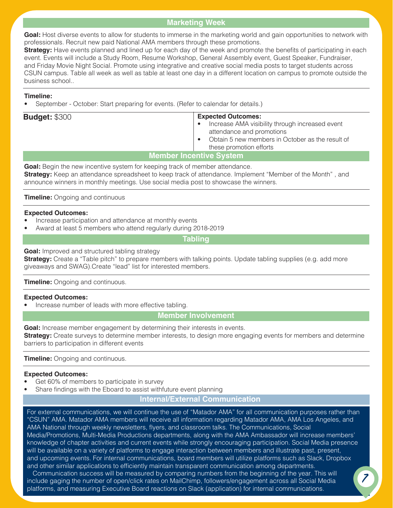# **Marketing Week**

Goal: Host diverse events to allow for students to immerse in the marketing world and gain opportunities to network with professionals. Recruit new paid National AMA members through these promotions.

**Strategy:** Have events planned and lined up for each day of the week and promote the benefits of participating in each event. Events will include a Study Room, Resume Workshop, General Assembly event, Guest Speaker, Fundraiser, and Friday Movie Night Social. Promote using integrative and creative social media posts to target students across CSUN campus. Table all week as well as table at least one day in a different location on campus to promote outside the business school..

### **Timeline:**

• September - October: Start preparing for events. (Refer to calendar for details.)

| <b>Budget: \$300</b>           | <b>Expected Outcomes:</b><br>Increase AMA visibility through increased event<br>$\bullet$<br>attendance and promotions<br>Obtain 5 new members in October as the result of<br>$\bullet$<br>these promotion efforts |  |  |  |
|--------------------------------|--------------------------------------------------------------------------------------------------------------------------------------------------------------------------------------------------------------------|--|--|--|
| <b>Member Incentive System</b> |                                                                                                                                                                                                                    |  |  |  |
| .                              |                                                                                                                                                                                                                    |  |  |  |

**Goal:** Begin the new incentive system for keeping track of member attendance. **Strategy:** Keep an attendance spreadsheet to keep track of attendance. Implement "Member of the Month" , and announce winners in monthly meetings. Use social media post to showcase the winners.

**Timeline:** Ongoing and continuous

### **Expected Outcomes:**

- Increase participation and attendance at monthly events
- Award at least 5 members who attend regularly during 2018-2019

**Tabling**

# **Goal:** Improved and structured tabling strategy

**Strategy:** Create a "Table pitch" to prepare members with talking points. Update tabling supplies (e.g. add more giveaways and SWAG).Create "lead" list for interested members.

# **Timeline:** Ongoing and continuous.

# **Expected Outcomes:**

Increase number of leads with more effective tabling.

**Member Involvement** 

Goal: Increase member engagement by determining their interests in events. **Strategy:** Create surveys to determine member interests, to design more engaging events for members and determine barriers to participation in different events

**Timeline:** Ongoing and continuous.

# **Expected Outcomes:**

- Get 60% of members to participate in survey
- Share findings with the Eboard to assist withfuture event planning

# **Internal/External Communication**

For external communications, we will continue the use of "Matador AMA" for all communication purposes rather than "CSUN" AMA. Matador AMA members will receive all information regarding Matador AMA, AMA Los Angeles, and AMA National through weekly newsletters, flyers, and classroom talks. The Communications, Social Media/Promotions, Multi-Media Productions departments, along with the AMA Ambassador will increase members' knowledge of chapter activities and current events while strongly encouraging participation. Social Media presence will be available on a variety of platforms to engage interaction between members and illustrate past, present, and upcoming events. For internal communications, board members will utilize platforms such as Slack, Dropbox and other similar applications to efficiently maintain transparent communication among departments.<br>Communication success will be measured by comparing numbers from the beginning of the year. This will

**7** Communication success will be measured by comparing numbers from the beginning of the year. This will a linclude gaging the number of open/click rates on MailChimp, followers/engagement across all Social Media platforms, and measuring Executive Board reactions on Slack (application) for internal communications.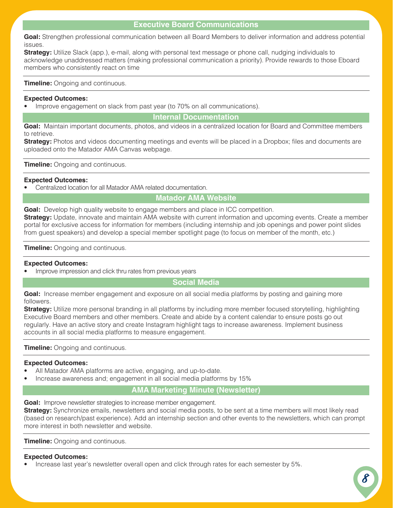# **Executive Board Communications**

**Goal:** Strengthen professional communication between all Board Members to deliver information and address potential issues.

**Strategy:** Utilize Slack (app.), e-mail, along with personal text message or phone call, nudging individuals to acknowledge unaddressed matters (making professional communication a priority). Provide rewards to those Eboard members who consistently react on time

**Timeline:** Ongoing and continuous.

### **Expected Outcomes:**

• Improve engagement on slack from past year (to 70% on all communications).

**Internal Documentation**

**Goal:** Maintain important documents, photos, and videos in a centralized location for Board and Committee members to retrieve.

**Strategy:** Photos and videos documenting meetings and events will be placed in a Dropbox; files and documents are uploaded onto the Matador AMA Canvas webpage.

**Timeline:** Ongoing and continuous.

### **Expected Outcomes:**

• Centralized location for all Matador AMA related documentation.

# **Matador AMA Website**

**Goal:** Develop high quality website to engage members and place in ICC competition. **Strategy:** Update, innovate and maintain AMA website with current information and upcoming events. Create a member portal for exclusive access for information for members (including internship and job openings and power point slides from guest speakers) and develop a special member spotlight page (to focus on member of the month, etc.)

**Timeline:** Ongoing and continuous.

### **Expected Outcomes:**

Improve impression and click thru rates from previous years

# **Social Media**

Goal: Increase member engagement and exposure on all social media platforms by posting and gaining more followers.

**Strategy:** Utilize more personal branding in all platforms by including more member focused storytelling, highlighting Executive Board members and other members. Create and abide by a content calendar to ensure posts go out regularly. Have an active story and create Instagram highlight tags to increase awareness. Implement business accounts in all social media platforms to measure engagement.

**Timeline:** Ongoing and continuous.

### **Expected Outcomes:**

- All Matador AMA platforms are active, engaging, and up-to-date.
- Increase awareness and; engagement in all social media platforms by 15%

# **AMA Marketing Minute (Newsletter)**

**Goal:** Improve newsletter strategies to increase member engagement.

**Strategy:** Synchronize emails, newsletters and social media posts, to be sent at a time members will most likely read (based on research/past experience). Add an internship section and other events to the newsletters, which can prompt more interest in both newsletter and website.

**Timeline:** Ongoing and continuous.

### **Expected Outcomes:**

• Increase last year's newsletter overall open and click through rates for each semester by 5%.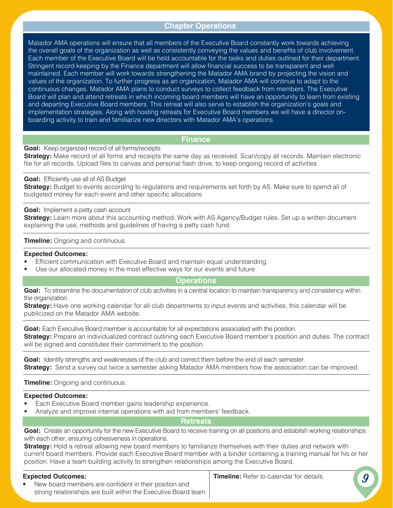# **Chapter Operations**

Matador AMA operations will ensure that all members of the Executive Board constantly work towards achieving the overall goals of the organization as well as consistently conveying the values and benefits of club involvement. Each member of the Executive Board will be held accountable for the tasks and duties outlined for their department. Stringent record keeping by the Finance department will allow financial success to be transparent and well maintained. Each member will work towards strengthening the Matador AMA brand by projecting the vision and values of the organization. To further progress as an organization, Matador AMA will continue to adapt to the continuous changes. Matador AMA plans to conduct surveys to collect feedback from members. The Executive Board will plan and attend retreats in which incoming board members will have an opportunity to learn from existing and departing Executive Board members. This retreat will also serve to establish the organization's goals and implementation strategies. Along with hosting retreats for Executive Board members we will have a director onboarding activity to train and familiarize new directors with Matador AMA's operations.

### **Finance**

**Goal:** Keep organized record of all forms/receipts

**Strategy:** Make record of all forms and receipts the same day as received. Scan/copy all records. Maintain electronic file for all records. Upload files to canvas and personal flash drive, to keep ongoing record of activities

### **Goal:** Efficiently use all of AS Budget

**Strategy:** Budget to events according to regulations and requirements set forth by AS. Make sure to spend all of budgeted money for each event and other specific allocations

#### **Goal:** Implement a petty cash account

**Strategy:** Learn more about this accounting method. Work with AS Agency/Budget rules. Set up a written document explaining the use, methods and guidelines of having a petty cash fund.

#### **Timeline:** Ongoing and continuous.

#### **Expected Outcomes:**

- Efficient communication with Executive Board and maintain equal understanding
- Use our allocated money in the most effective ways for our events and future

### **Operations**

**Goal:** To streamline the documentation of club activities in a central location to maintain transparency and consistency within the organization.

**Strategy:** Have one working calendar for all club departments to input events and activities, this calendar will be publicized on the Matador AMA website.

**Goal:** Each Executive Board member is accountable for all expectations associated with the position. **Strategy:** Prepare an individualized contract outlining each Executive Board member's position and duties. The contract will be signed and constitutes their commitment to the position.

Goal: Identify strengths and weaknesses of the club and correct them before the end of each semester. **Strategy:** Send a survey out twice a semester asking Matador AMA members how the association can be improved.

### **Timeline:** Ongoing and continuous.

#### **Expected Outcomes:**

- Each Executive Board member gains leadership experience.
- Analyze and improve internal operations with aid from members' feedback.

### **Retreats**

Goal: Create an opportunity for the new Executive Board to receive training on all positions and establish working relationships with each other, ensuring cohesiveness in operations.

**Strategy:** Hold a retreat allowing new board members to familiarize themselves with their duties and network with current board members. Provide each Executive Board member with a binder containing a training manual for his or her position. Have a team building activity to strengthen relationships among the Executive Board.

### **Expected Outcomes:**

**Timeline:** Refer to calendar for details.

**9**

New board members are confident in their position and strong relationships are built within the Executive Board team